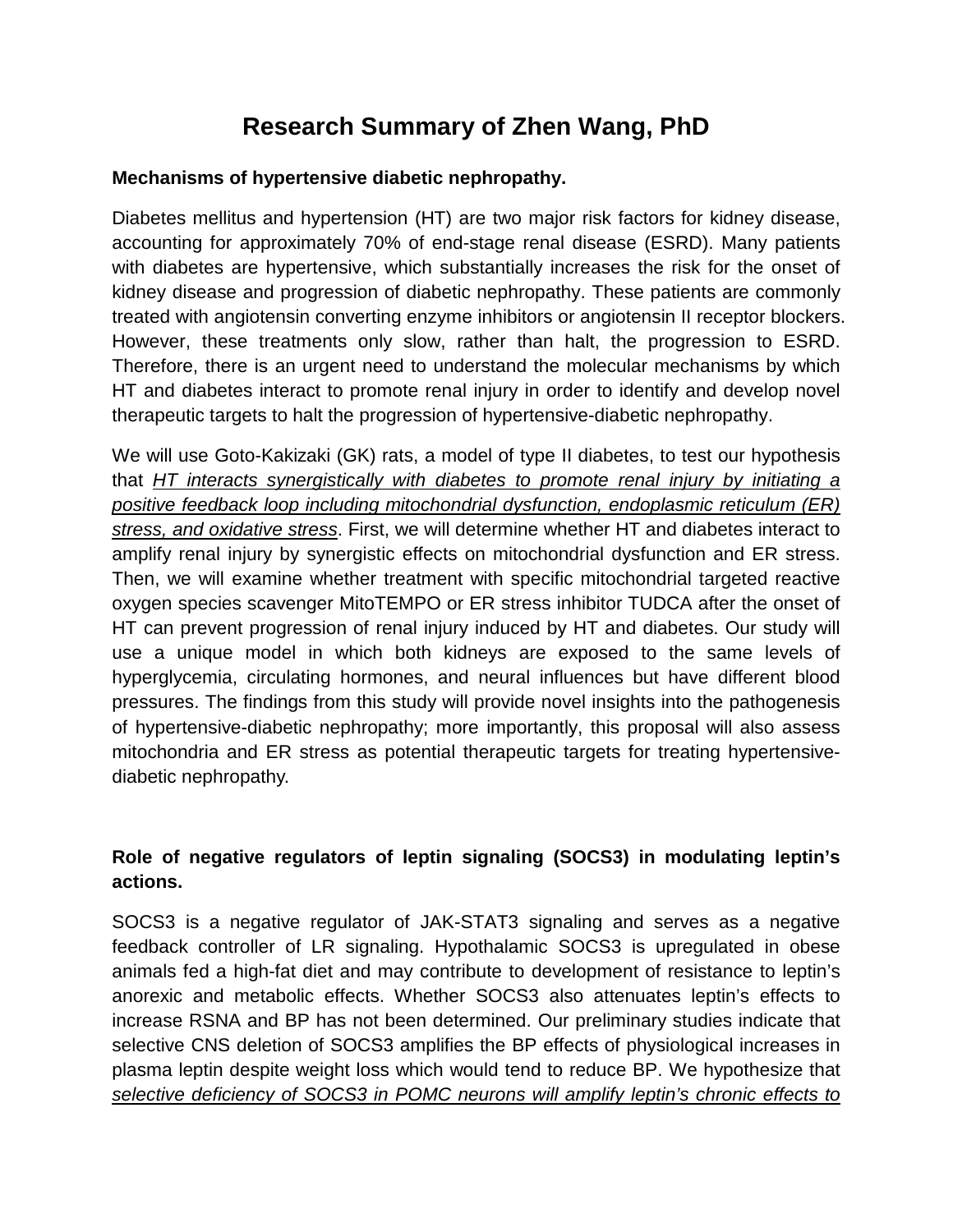## **Research Summary of Zhen Wang, PhD**

## **Mechanisms of hypertensive diabetic nephropathy.**

Diabetes mellitus and hypertension (HT) are two major risk factors for kidney disease, accounting for approximately 70% of end-stage renal disease (ESRD). Many patients with diabetes are hypertensive, which substantially increases the risk for the onset of kidney disease and progression of diabetic nephropathy. These patients are commonly treated with angiotensin converting enzyme inhibitors or angiotensin II receptor blockers. However, these treatments only slow, rather than halt, the progression to ESRD. Therefore, there is an urgent need to understand the molecular mechanisms by which HT and diabetes interact to promote renal injury in order to identify and develop novel therapeutic targets to halt the progression of hypertensive-diabetic nephropathy.

We will use Goto-Kakizaki (GK) rats, a model of type II diabetes, to test our hypothesis that *HT interacts synergistically with diabetes to promote renal injury by initiating a positive feedback loop including mitochondrial dysfunction, endoplasmic reticulum (ER) stress, and oxidative stress*. First, we will determine whether HT and diabetes interact to amplify renal injury by synergistic effects on mitochondrial dysfunction and ER stress. Then, we will examine whether treatment with specific mitochondrial targeted reactive oxygen species scavenger MitoTEMPO or ER stress inhibitor TUDCA after the onset of HT can prevent progression of renal injury induced by HT and diabetes. Our study will use a unique model in which both kidneys are exposed to the same levels of hyperglycemia, circulating hormones, and neural influences but have different blood pressures. The findings from this study will provide novel insights into the pathogenesis of hypertensive-diabetic nephropathy; more importantly, this proposal will also assess mitochondria and ER stress as potential therapeutic targets for treating hypertensivediabetic nephropathy.

## **Role of negative regulators of leptin signaling (SOCS3) in modulating leptin's actions.**

SOCS3 is a negative regulator of JAK-STAT3 signaling and serves as a negative feedback controller of LR signaling. Hypothalamic SOCS3 is upregulated in obese animals fed a high-fat diet and may contribute to development of resistance to leptin's anorexic and metabolic effects. Whether SOCS3 also attenuates leptin's effects to increase RSNA and BP has not been determined. Our preliminary studies indicate that selective CNS deletion of SOCS3 amplifies the BP effects of physiological increases in plasma leptin despite weight loss which would tend to reduce BP. We hypothesize that *selective deficiency of SOCS3 in POMC neurons will amplify leptin's chronic effects to*